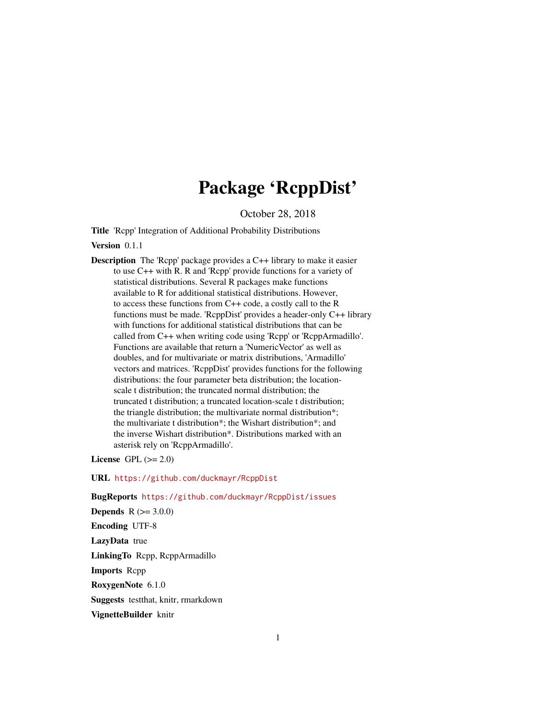## Package 'RcppDist'

October 28, 2018

Title 'Rcpp' Integration of Additional Probability Distributions

Version 0.1.1

Description The 'Rcpp' package provides a C++ library to make it easier to use C++ with R. R and 'Rcpp' provide functions for a variety of statistical distributions. Several R packages make functions available to R for additional statistical distributions. However, to access these functions from C++ code, a costly call to the R functions must be made. 'RcppDist' provides a header-only C++ library with functions for additional statistical distributions that can be called from C++ when writing code using 'Rcpp' or 'RcppArmadillo'. Functions are available that return a 'NumericVector' as well as doubles, and for multivariate or matrix distributions, 'Armadillo' vectors and matrices. 'RcppDist' provides functions for the following distributions: the four parameter beta distribution; the locationscale t distribution; the truncated normal distribution; the truncated t distribution; a truncated location-scale t distribution; the triangle distribution; the multivariate normal distribution\*; the multivariate t distribution\*; the Wishart distribution\*; and the inverse Wishart distribution\*. Distributions marked with an asterisk rely on 'RcppArmadillo'.

License GPL  $(>= 2.0)$ 

URL <https://github.com/duckmayr/RcppDist>

BugReports <https://github.com/duckmayr/RcppDist/issues> **Depends**  $R (= 3.0.0)$ Encoding UTF-8 LazyData true LinkingTo Rcpp, RcppArmadillo Imports Rcpp RoxygenNote 6.1.0 Suggests testthat, knitr, rmarkdown VignetteBuilder knitr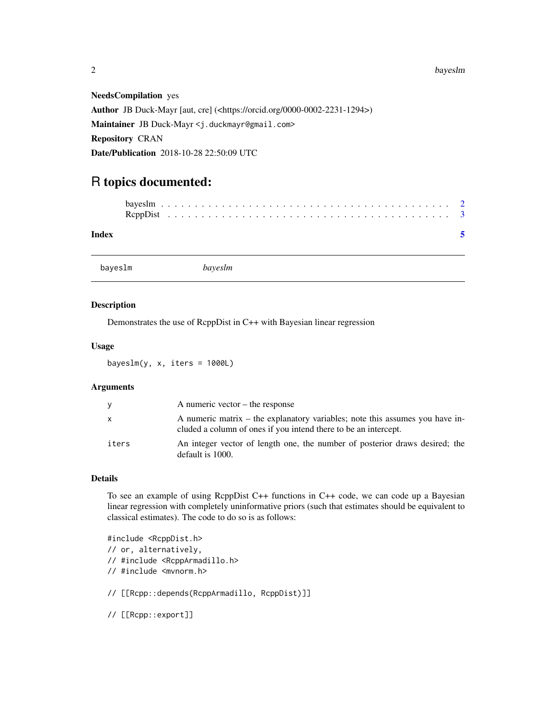#### 2 bayeslm

NeedsCompilation yes Author JB Duck-Mayr [aut, cre] (<https://orcid.org/0000-0002-2231-1294>) Maintainer JB Duck-Mayr <j.duckmayr@gmail.com> Repository CRAN Date/Publication 2018-10-28 22:50:09 UTC

### R topics documented:

| bayeslm |  |  |  | bayeslm |  |  |  |  |  |  |  |  |  |  |  |  |  |  |  |  |  |
|---------|--|--|--|---------|--|--|--|--|--|--|--|--|--|--|--|--|--|--|--|--|--|
| Index   |  |  |  |         |  |  |  |  |  |  |  |  |  |  |  |  |  |  |  |  |  |
|         |  |  |  |         |  |  |  |  |  |  |  |  |  |  |  |  |  |  |  |  |  |

#### <span id="page-1-1"></span>Description

Demonstrates the use of RcppDist in C++ with Bayesian linear regression

#### Usage

 $bayeslm(y, x, iters = 1000L)$ 

#### Arguments

|       | A numeric vector $-$ the response                                                                                                               |
|-------|-------------------------------------------------------------------------------------------------------------------------------------------------|
| x     | A numeric matrix – the explanatory variables; note this assumes you have in-<br>cluded a column of ones if you intend there to be an intercept. |
| iters | An integer vector of length one, the number of posterior draws desired; the<br>default is 1000.                                                 |

#### Details

To see an example of using RcppDist C++ functions in C++ code, we can code up a Bayesian linear regression with completely uninformative priors (such that estimates should be equivalent to classical estimates). The code to do so is as follows:

#include <RcppDist.h> // or, alternatively, // #include <RcppArmadillo.h> // #include <mvnorm.h> // [[Rcpp::depends(RcppArmadillo, RcppDist)]]

// [[Rcpp::export]]

<span id="page-1-0"></span>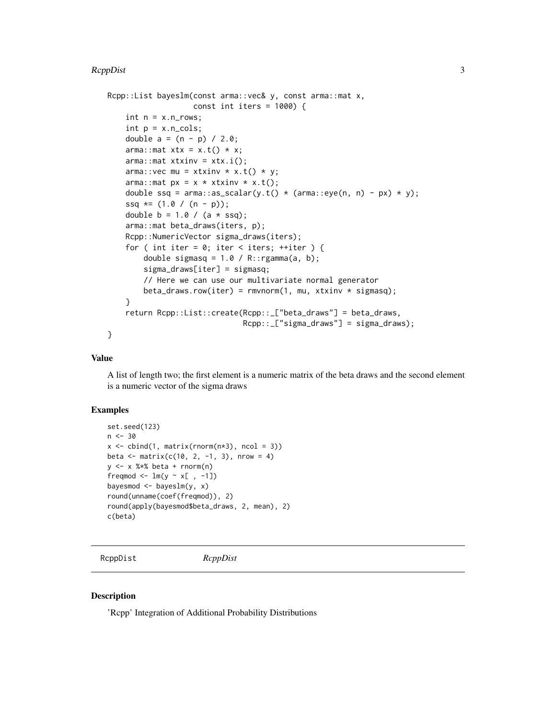#### <span id="page-2-0"></span>RcppDist 3 3

```
Rcpp::List bayeslm(const arma::vec& y, const arma::mat x,
                   const int iters = 1000) {
    int n = x.n rows;
   int p = x.n_{cols};
   double a = (n - p) / 2.0;
   arma::mat xtx = x.t() * x;arma::mat xtxinv = xtx.i();arma::vec mu = xtxinv * x.t() * y;arma::mat px = x * xtxinv * x.t();double ssq = arma::as_scalar(y.t() * (arma::eye(n, n) - px) * y);
   ssq *= (1.0 / (n - p));double b = 1.0 / (a * ssq);
   arma::mat beta_draws(iters, p);
   Rcpp::NumericVector sigma_draws(iters);
    for ( int iter = 0; iter < iters; ++iter ) {
        double sigmasq = 1.0 / R::rgamma(a, b);
       sigma_draws[iter] = sigmasq;
        // Here we can use our multivariate normal generator
       beta_draws.row(iter) = rmorm(1, mu, xtxinv * sigmasq);}
   return Rcpp::List::create(Rcpp::_["beta_draws"] = beta_draws,
                              Rcpp::_["sigma_draws"] = sigma_draws);
}
```
#### Value

A list of length two; the first element is a numeric matrix of the beta draws and the second element is a numeric vector of the sigma draws

#### Examples

```
set.seed(123)
n < -30x \le cbind(1, matrix(rnorm(n*3), ncol = 3))
beta \leq matrix(c(10, 2, -1, 3), nrow = 4)
y <- x %*% beta + rnorm(n)
freqmod \leq -\ln(y \sim x[, -1])
bayesmod \leq bayeslm(y, x)
round(unname(coef(freqmod)), 2)
round(apply(bayesmod$beta_draws, 2, mean), 2)
c(beta)
```

```
RcppDist RcppDist
```
#### Description

'Rcpp' Integration of Additional Probability Distributions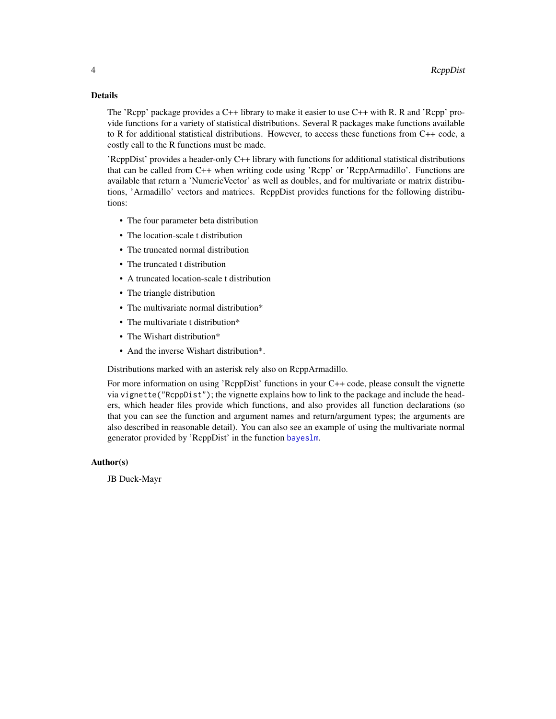#### Details

The 'Rcpp' package provides a C++ library to make it easier to use C++ with R. R and 'Rcpp' provide functions for a variety of statistical distributions. Several R packages make functions available to R for additional statistical distributions. However, to access these functions from C++ code, a costly call to the R functions must be made.

'RcppDist' provides a header-only C++ library with functions for additional statistical distributions that can be called from C++ when writing code using 'Rcpp' or 'RcppArmadillo'. Functions are available that return a 'NumericVector' as well as doubles, and for multivariate or matrix distributions, 'Armadillo' vectors and matrices. RcppDist provides functions for the following distributions:

- The four parameter beta distribution
- The location-scale t distribution
- The truncated normal distribution
- The truncated t distribution
- A truncated location-scale t distribution
- The triangle distribution
- The multivariate normal distribution\*
- The multivariate t distribution\*
- The Wishart distribution\*
- And the inverse Wishart distribution\*.

Distributions marked with an asterisk rely also on RcppArmadillo.

For more information on using 'ReppDist' functions in your C++ code, please consult the vignette via vignette("RcppDist"); the vignette explains how to link to the package and include the headers, which header files provide which functions, and also provides all function declarations (so that you can see the function and argument names and return/argument types; the arguments are also described in reasonable detail). You can also see an example of using the multivariate normal generator provided by 'RcppDist' in the function [bayeslm](#page-1-1).

#### Author(s)

JB Duck-Mayr

<span id="page-3-0"></span>